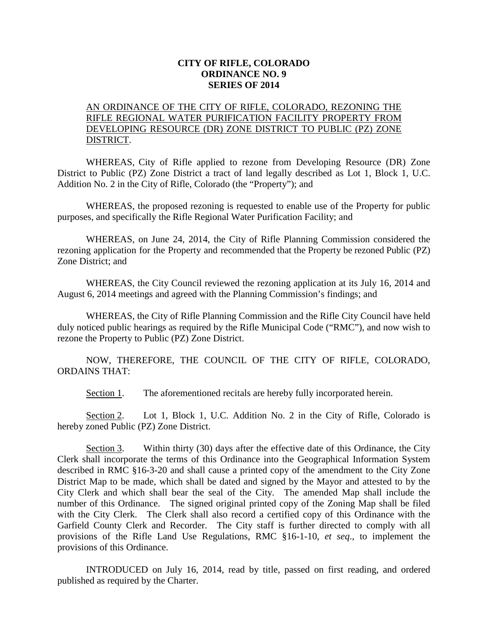## **CITY OF RIFLE, COLORADO ORDINANCE NO. 9 SERIES OF 2014**

## AN ORDINANCE OF THE CITY OF RIFLE, COLORADO, REZONING THE RIFLE REGIONAL WATER PURIFICATION FACILITY PROPERTY FROM DEVELOPING RESOURCE (DR) ZONE DISTRICT TO PUBLIC (PZ) ZONE DISTRICT.

WHEREAS, City of Rifle applied to rezone from Developing Resource (DR) Zone District to Public (PZ) Zone District a tract of land legally described as Lot 1, Block 1, U.C. Addition No. 2 in the City of Rifle, Colorado (the "Property"); and

WHEREAS, the proposed rezoning is requested to enable use of the Property for public purposes, and specifically the Rifle Regional Water Purification Facility; and

WHEREAS, on June 24, 2014, the City of Rifle Planning Commission considered the rezoning application for the Property and recommended that the Property be rezoned Public (PZ) Zone District; and

WHEREAS, the City Council reviewed the rezoning application at its July 16, 2014 and August 6, 2014 meetings and agreed with the Planning Commission's findings; and

WHEREAS, the City of Rifle Planning Commission and the Rifle City Council have held duly noticed public hearings as required by the Rifle Municipal Code ("RMC"), and now wish to rezone the Property to Public (PZ) Zone District.

NOW, THEREFORE, THE COUNCIL OF THE CITY OF RIFLE, COLORADO, ORDAINS THAT:

Section 1. The aforementioned recitals are hereby fully incorporated herein.

Section 2. Lot 1, Block 1, U.C. Addition No. 2 in the City of Rifle, Colorado is hereby zoned Public (PZ) Zone District.

Section 3. Within thirty (30) days after the effective date of this Ordinance, the City Clerk shall incorporate the terms of this Ordinance into the Geographical Information System described in RMC §16-3-20 and shall cause a printed copy of the amendment to the City Zone District Map to be made, which shall be dated and signed by the Mayor and attested to by the City Clerk and which shall bear the seal of the City. The amended Map shall include the number of this Ordinance. The signed original printed copy of the Zoning Map shall be filed with the City Clerk. The Clerk shall also record a certified copy of this Ordinance with the Garfield County Clerk and Recorder. The City staff is further directed to comply with all provisions of the Rifle Land Use Regulations, RMC §16-1-10, *et seq*., to implement the provisions of this Ordinance.

INTRODUCED on July 16, 2014, read by title, passed on first reading, and ordered published as required by the Charter.